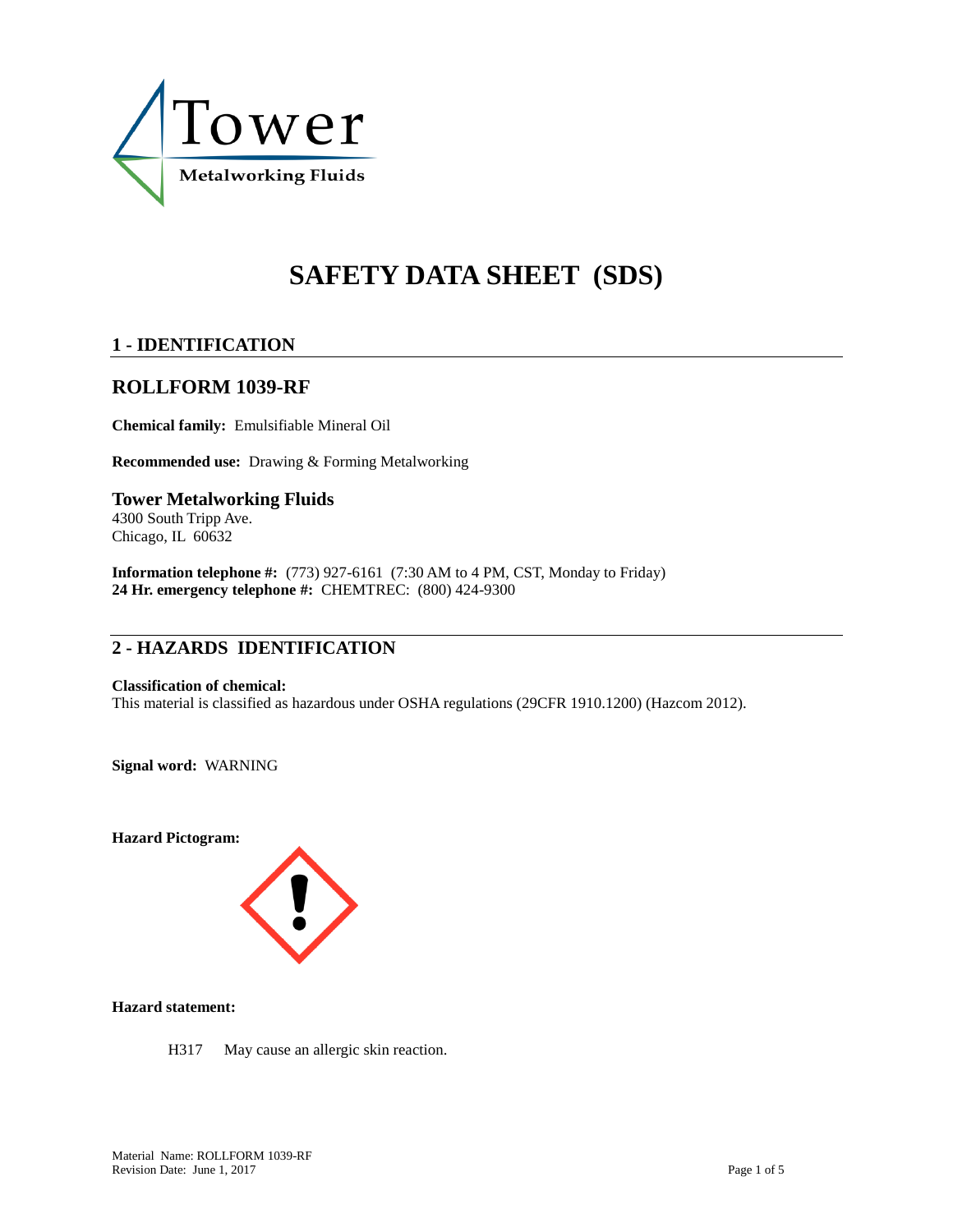

# **SAFETY DATA SHEET (SDS)**

# **1 - IDENTIFICATION**

# **ROLLFORM 1039-RF**

**Chemical family:** Emulsifiable Mineral Oil

**Recommended use:** Drawing & Forming Metalworking

## **Tower Metalworking Fluids** 4300 South Tripp Ave.

Chicago, IL 60632

**Information telephone #:** (773) 927-6161 (7:30 AM to 4 PM, CST, Monday to Friday) **24 Hr. emergency telephone #:** CHEMTREC: (800) 424-9300

# **2 - HAZARDS IDENTIFICATION**

#### **Classification of chemical:**

This material is classified as hazardous under OSHA regulations (29CFR 1910.1200) (Hazcom 2012).

**Signal word:** WARNING

**Hazard Pictogram:**



**Hazard statement:**

H317 May cause an allergic skin reaction.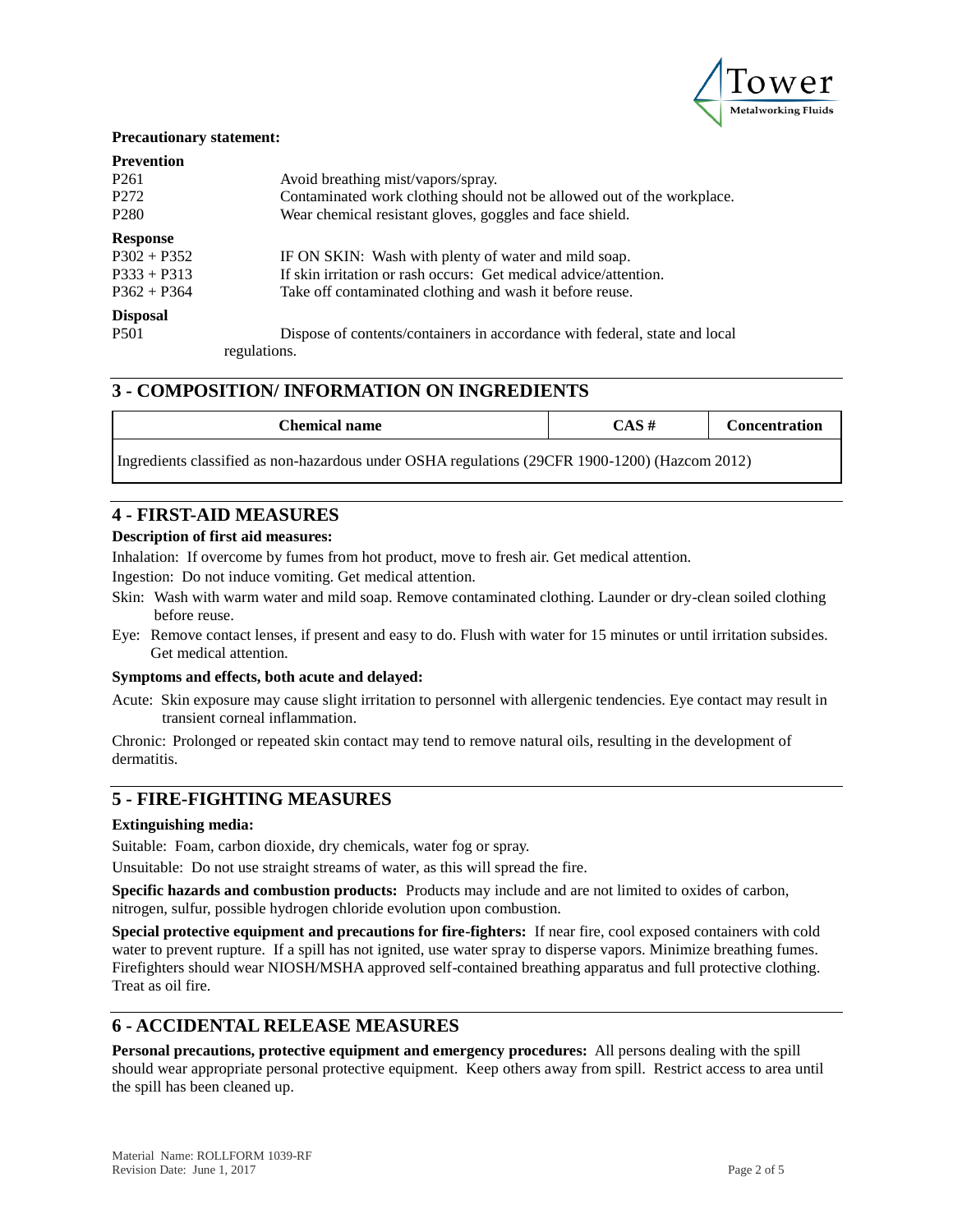

#### **Precautionary statement:**

| <b>Prevention</b> |                                                                            |
|-------------------|----------------------------------------------------------------------------|
| P <sub>261</sub>  | Avoid breathing mist/vapors/spray.                                         |
| P <sub>272</sub>  | Contaminated work clothing should not be allowed out of the workplace.     |
| P <sub>280</sub>  | Wear chemical resistant gloves, goggles and face shield.                   |
| <b>Response</b>   |                                                                            |
| $P302 + P352$     | IF ON SKIN: Wash with plenty of water and mild soap.                       |
| $P333 + P313$     | If skin irritation or rash occurs: Get medical advice/attention.           |
| $P362 + P364$     | Take off contaminated clothing and wash it before reuse.                   |
| <b>Disposal</b>   |                                                                            |
| <b>P501</b>       | Dispose of contents/containers in accordance with federal, state and local |
|                   | regulations.                                                               |

## **3 - COMPOSITION/ INFORMATION ON INGREDIENTS**

| Chemical name                                                                                  | CAS# | <b>Concentration</b> |
|------------------------------------------------------------------------------------------------|------|----------------------|
| Ingredients classified as non-hazardous under OSHA regulations (29CFR 1900-1200) (Hazcom 2012) |      |                      |

# **4 - FIRST-AID MEASURES**

#### **Description of first aid measures:**

Inhalation: If overcome by fumes from hot product, move to fresh air. Get medical attention.

Ingestion: Do not induce vomiting. Get medical attention.

- Skin: Wash with warm water and mild soap. Remove contaminated clothing. Launder or dry-clean soiled clothing before reuse.
- Eye: Remove contact lenses, if present and easy to do. Flush with water for 15 minutes or until irritation subsides. Get medical attention.

#### **Symptoms and effects, both acute and delayed:**

Acute: Skin exposure may cause slight irritation to personnel with allergenic tendencies. Eye contact may result in transient corneal inflammation.

Chronic: Prolonged or repeated skin contact may tend to remove natural oils, resulting in the development of dermatitis.

## **5 - FIRE-FIGHTING MEASURES**

#### **Extinguishing media:**

Suitable: Foam, carbon dioxide, dry chemicals, water fog or spray.

Unsuitable: Do not use straight streams of water, as this will spread the fire.

**Specific hazards and combustion products:** Products may include and are not limited to oxides of carbon, nitrogen, sulfur, possible hydrogen chloride evolution upon combustion.

**Special protective equipment and precautions for fire-fighters:** If near fire, cool exposed containers with cold water to prevent rupture. If a spill has not ignited, use water spray to disperse vapors. Minimize breathing fumes. Firefighters should wear NIOSH/MSHA approved self-contained breathing apparatus and full protective clothing. Treat as oil fire.

# **6 - ACCIDENTAL RELEASE MEASURES**

**Personal precautions, protective equipment and emergency procedures:** All persons dealing with the spill should wear appropriate personal protective equipment. Keep others away from spill. Restrict access to area until the spill has been cleaned up.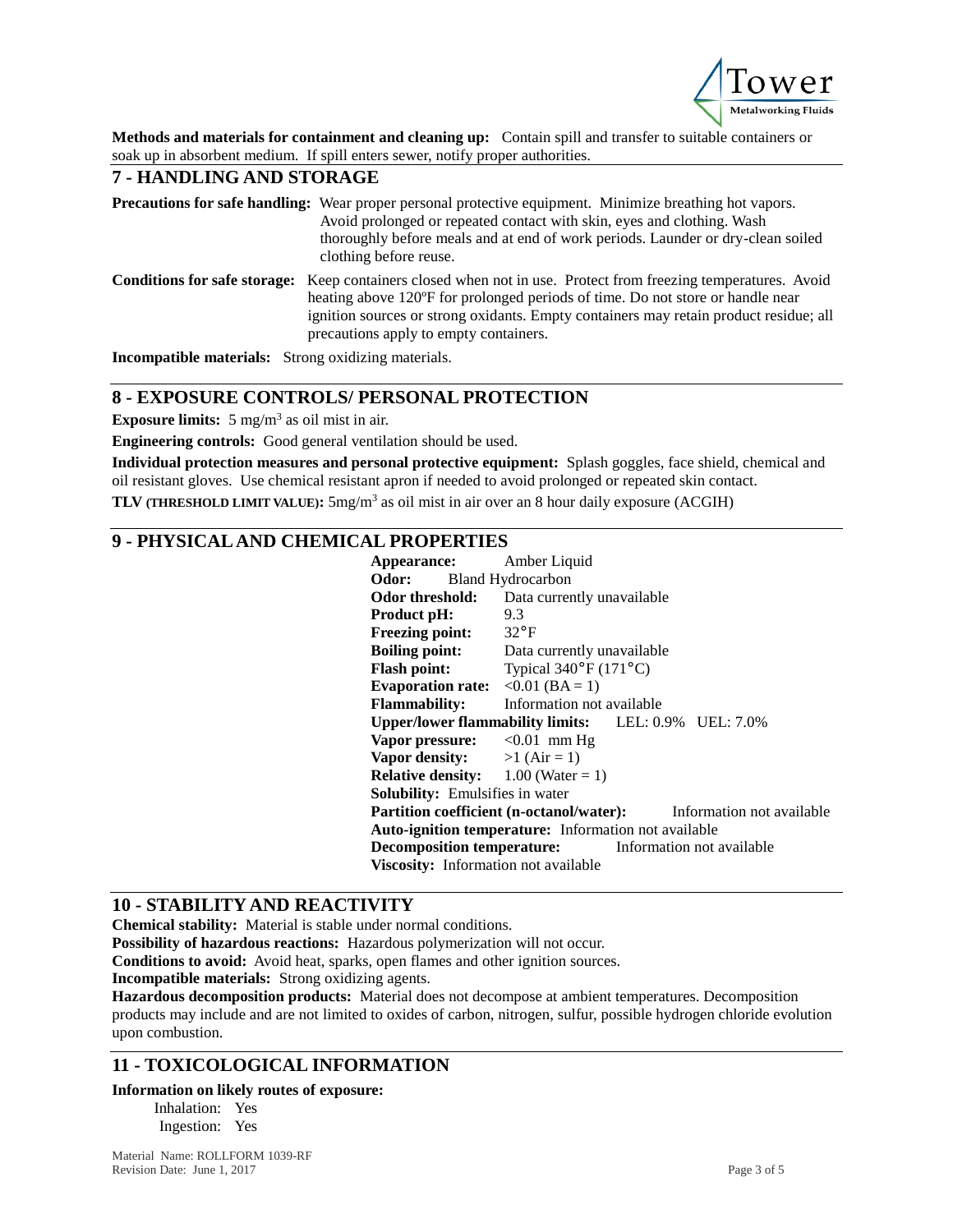

**Methods and materials for containment and cleaning up:** Contain spill and transfer to suitable containers or soak up in absorbent medium. If spill enters sewer, notify proper authorities.

## **7 - HANDLING AND STORAGE**

| <b>Precautions for safe handling:</b> Wear proper personal protective equipment. Minimize breathing hot vapors.<br>Avoid prolonged or repeated contact with skin, eyes and clothing. Wash<br>thoroughly before meals and at end of work periods. Launder or dry-clean soiled<br>clothing before reuse.                                     |
|--------------------------------------------------------------------------------------------------------------------------------------------------------------------------------------------------------------------------------------------------------------------------------------------------------------------------------------------|
| <b>Conditions for safe storage:</b> Keep containers closed when not in use. Protect from freezing temperatures. Avoid<br>heating above 120°F for prolonged periods of time. Do not store or handle near<br>ignition sources or strong oxidants. Empty containers may retain product residue; all<br>precautions apply to empty containers. |

**Incompatible materials:** Strong oxidizing materials.

# **8 - EXPOSURE CONTROLS/ PERSONAL PROTECTION**

**Exposure limits:** 5 mg/m<sup>3</sup> as oil mist in air.

**Engineering controls:** Good general ventilation should be used.

**Individual protection measures and personal protective equipment:** Splash goggles, face shield, chemical and oil resistant gloves. Use chemical resistant apron if needed to avoid prolonged or repeated skin contact. **TLV (THRESHOLD LIMIT VALUE):** 5mg/m<sup>3</sup> as oil mist in air over an 8 hour daily exposure (ACGIH)

# **9 - PHYSICAL AND CHEMICAL PROPERTIES**

| Appearance:                                       | Amber Liquid                                                              |
|---------------------------------------------------|---------------------------------------------------------------------------|
| Odor:                                             | <b>Bland Hydrocarbon</b>                                                  |
| Odor threshold:                                   | Data currently unavailable                                                |
| Product pH:                                       | 9.3                                                                       |
| <b>Freezing point:</b>                            | $32^{\circ}F$                                                             |
| <b>Boiling point:</b>                             | Data currently unavailable                                                |
| <b>Flash point:</b>                               | Typical $340^{\circ}$ F (171 °C)                                          |
| Evaporation rate: $\langle 0.01 \rangle$ (BA = 1) |                                                                           |
| <b>Flammability:</b>                              | Information not available                                                 |
|                                                   | Upper/lower flammability limits: LEL: 0.9% UEL: 7.0%                      |
| Vapor pressure: $< 0.01$ mm Hg                    |                                                                           |
| <b>Vapor density:</b> $>1$ (Air = 1)              |                                                                           |
| <b>Relative density:</b> $1.00$ (Water = 1)       |                                                                           |
| <b>Solubility:</b> Emulsifies in water            |                                                                           |
|                                                   | <b>Partition coefficient (n-octanol/water):</b> Information not available |
|                                                   | <b>Auto-ignition temperature:</b> Information not available               |
|                                                   | <b>Decomposition temperature:</b> Information not available               |
| Viscosity: Information not available              |                                                                           |

## **10 - STABILITY AND REACTIVITY**

**Chemical stability:** Material is stable under normal conditions.

**Possibility of hazardous reactions:** Hazardous polymerization will not occur.

**Conditions to avoid:** Avoid heat, sparks, open flames and other ignition sources.

**Incompatible materials:** Strong oxidizing agents.

**Hazardous decomposition products:** Material does not decompose at ambient temperatures. Decomposition products may include and are not limited to oxides of carbon, nitrogen, sulfur, possible hydrogen chloride evolution upon combustion.

# **11 - TOXICOLOGICAL INFORMATION**

#### **Information on likely routes of exposure:**

Inhalation: Yes Ingestion: Yes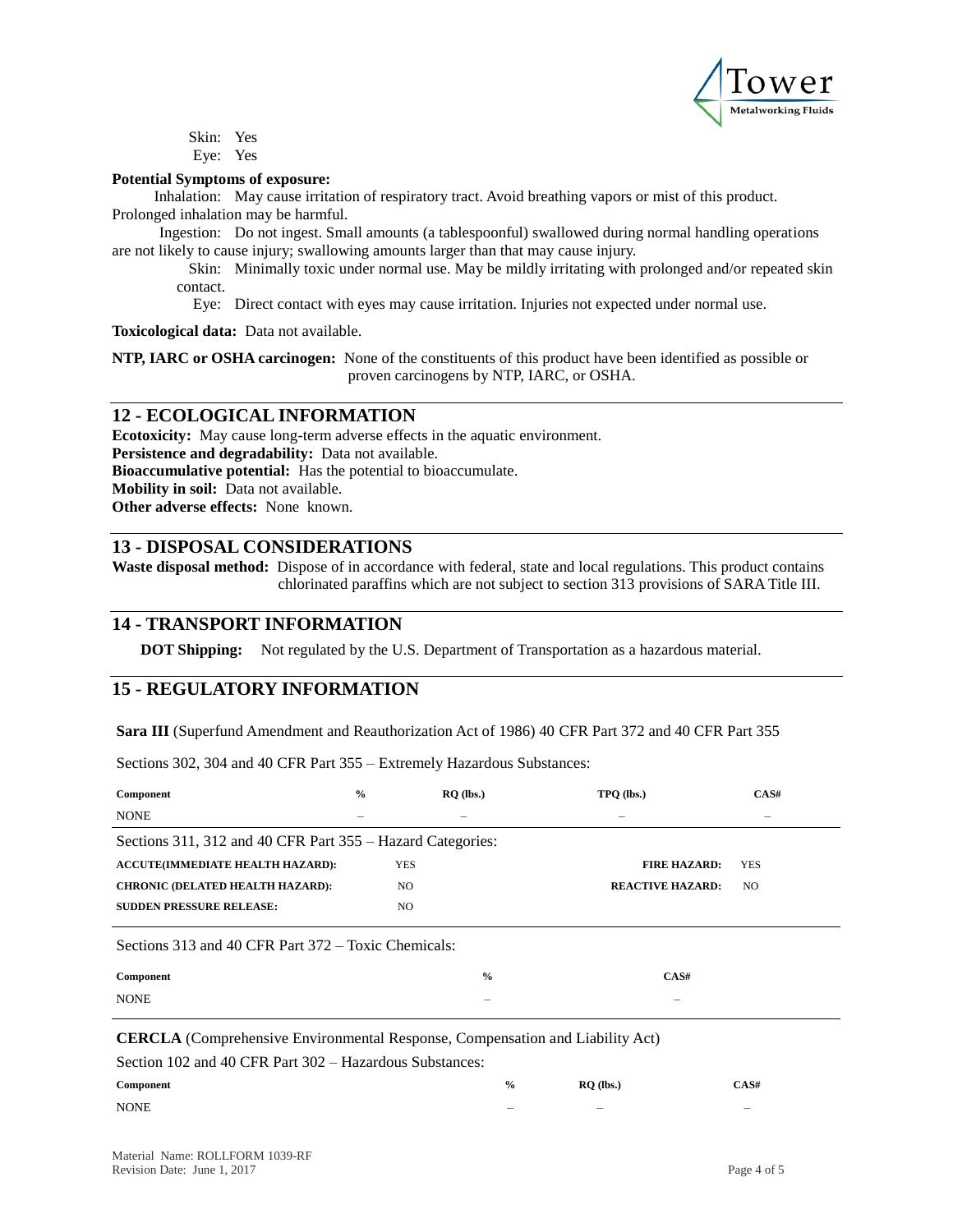

Skin: Yes Eye: Yes

#### **Potential Symptoms of exposure:**

Inhalation: May cause irritation of respiratory tract. Avoid breathing vapors or mist of this product. Prolonged inhalation may be harmful.

Ingestion: Do not ingest. Small amounts (a tablespoonful) swallowed during normal handling operations are not likely to cause injury; swallowing amounts larger than that may cause injury.

Skin: Minimally toxic under normal use. May be mildly irritating with prolonged and/or repeated skin contact.

Eye: Direct contact with eyes may cause irritation. Injuries not expected under normal use.

**Toxicological data:** Data not available.

**NTP, IARC or OSHA carcinogen:** None of the constituents of this product have been identified as possible or proven carcinogens by NTP, IARC, or OSHA.

## **12 - ECOLOGICAL INFORMATION**

**Ecotoxicity:** May cause long-term adverse effects in the aquatic environment. **Persistence and degradability:** Data not available. **Bioaccumulative potential:** Has the potential to bioaccumulate. **Mobility in soil:** Data not available. **Other adverse effects:** None known.

## **13 - DISPOSAL CONSIDERATIONS**

**Waste disposal method:** Dispose of in accordance with federal, state and local regulations. This product contains chlorinated paraffins which are not subject to section 313 provisions of SARA Title III.

## **14 - TRANSPORT INFORMATION**

**DOT Shipping:** Not regulated by the U.S. Department of Transportation as a hazardous material.

# **15 - REGULATORY INFORMATION**

**Sara III** (Superfund Amendment and Reauthorization Act of 1986) 40 CFR Part 372 and 40 CFR Part 355

Sections 302, 304 and 40 CFR Part 355 – Extremely Hazardous Substances:

| Component                                                                                                                                       | $^{0}/_{0}$ | $RO$ (lbs.)   | TPO (lbs.)               | CAS#                     |  |  |  |
|-------------------------------------------------------------------------------------------------------------------------------------------------|-------------|---------------|--------------------------|--------------------------|--|--|--|
| <b>NONE</b>                                                                                                                                     |             |               | $\overline{\phantom{0}}$ | $\overline{\phantom{0}}$ |  |  |  |
| Sections 311, 312 and 40 CFR Part 355 – Hazard Categories:                                                                                      |             |               |                          |                          |  |  |  |
| <b>ACCUTE(IMMEDIATE HEALTH HAZARD):</b>                                                                                                         |             | <b>YES</b>    | <b>FIRE HAZARD:</b>      | <b>YES</b>               |  |  |  |
| <b>CHRONIC (DELATED HEALTH HAZARD):</b>                                                                                                         |             | NO.           | <b>REACTIVE HAZARD:</b>  | NO.                      |  |  |  |
| <b>SUDDEN PRESSURE RELEASE:</b>                                                                                                                 |             | NO.           |                          |                          |  |  |  |
| Sections 313 and 40 CFR Part 372 – Toxic Chemicals:                                                                                             |             |               |                          |                          |  |  |  |
| Component                                                                                                                                       |             | $\frac{0}{0}$ | CAS#                     |                          |  |  |  |
| <b>NONE</b>                                                                                                                                     |             |               |                          |                          |  |  |  |
| <b>CERCLA</b> (Comprehensive Environmental Response, Compensation and Liability Act)<br>Section 102 and 40 CFR Part 302 – Hazardous Substances: |             |               |                          |                          |  |  |  |

| Component   | $\frac{6}{9}$ | $RO$ (lbs.) | CAS#   |
|-------------|---------------|-------------|--------|
| <b>NONE</b> | $\sim$        | $\sim$      | $\sim$ |